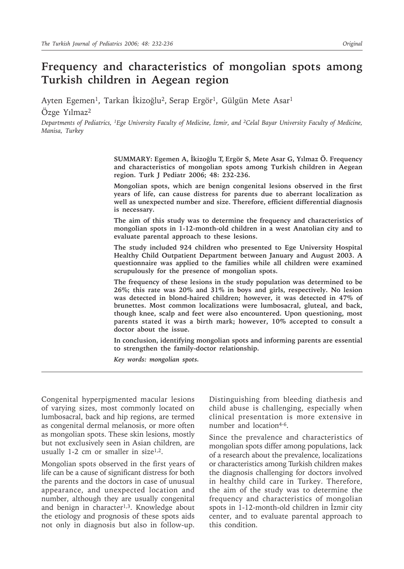# **Frequency and characteristics of mongolian spots among Turkish children in Aegean region**

Ayten Egemen<sup>1</sup>, Tarkan İkizoğlu<sup>2</sup>, Serap Ergör<sup>1</sup>, Gülgün Mete Asar<sup>1</sup> Özge Yılmaz2

*Departments of Pediatrics, 1Ege University Faculty of Medicine, İzmir, and 2Celal Bayar University Faculty of Medicine, Manisa, Turkey*

> **SUMMARY: Egemen A, İkizoğlu T, Ergör S, Mete Asar G, Yılmaz Ö. Frequency and characteristics of mongolian spots among Turkish children in Aegean region. Turk J Pediatr 2006; 48: 232-236.**

> **Mongolian spots, which are benign congenital lesions observed in the first years of life, can cause distress for parents due to aberrant localization as well as unexpected number and size. Therefore, efficient differential diagnosis is necessary.**

> **The aim of this study was to determine the frequency and characteristics of mongolian spots in 1-12-month-old children in a west Anatolian city and to evaluate parental approach to these lesions.**

> **The study included 924 children who presented to Ege University Hospital Healthy Child Outpatient Department between January and August 2003. A questionnaire was applied to the families while all children were examined scrupulously for the presence of mongolian spots.**

> **The frequency of these lesions in the study population was determined to be 26%; this rate was 20% and 31% in boys and girls, respectively. No lesion was detected in blond-haired children; however, it was detected in 47% of brunettes. Most common localizations were lumbosacral, gluteal, and back, though knee, scalp and feet were also encountered. Upon questioning, most parents stated it was a birth mark; however, 10% accepted to consult a doctor about the issue.**

> **In conclusion, identifying mongolian spots and informing parents are essential to strengthen the family-doctor relationship.**

*Key words: mongolian spots.*

Congenital hyperpigmented macular lesions of varying sizes, most commonly located on lumbosacral, back and hip regions, are termed as congenital dermal melanosis, or more often as mongolian spots. These skin lesions, mostly but not exclusively seen in Asian children, are usually 1-2 cm or smaller in size<sup>1,2</sup>.

Mongolian spots observed in the first years of life can be a cause of significant distress for both the parents and the doctors in case of unusual appearance, and unexpected location and number, although they are usually congenital and benign in character<sup>1,3</sup>. Knowledge about the etiology and prognosis of these spots aids not only in diagnosis but also in follow-up.

Distinguishing from bleeding diathesis and child abuse is challenging, especially when clinical presentation is more extensive in number and location4-6.

Since the prevalence and characteristics of mongolian spots differ among populations, lack of a research about the prevalence, localizations or characteristics among Turkish children makes the diagnosis challenging for doctors involved in healthy child care in Turkey. Therefore, the aim of the study was to determine the frequency and characteristics of mongolian spots in 1-12-month-old children in İzmir city center, and to evaluate parental approach to this condition.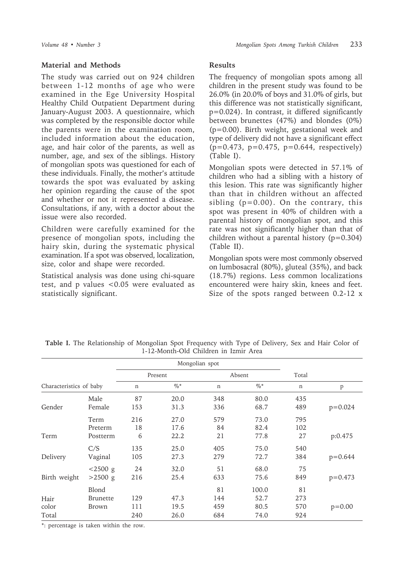### **Material and Methods**

The study was carried out on 924 children between 1-12 months of age who were examined in the Ege University Hospital Healthy Child Outpatient Department during January-August 2003. A questionnaire, which was completed by the responsible doctor while the parents were in the examination room, included information about the education, age, and hair color of the parents, as well as number, age, and sex of the siblings. History of mongolian spots was questioned for each of these individuals. Finally, the mother's attitude towards the spot was evaluated by asking her opinion regarding the cause of the spot and whether or not it represented a disease. Consultations, if any, with a doctor about the issue were also recorded.

Children were carefully examined for the presence of mongolian spots, including the hairy skin, during the systematic physical examination. If a spot was observed, localization, size, color and shape were recorded.

Statistical analysis was done using chi-square test, and p values <0.05 were evaluated as statistically significant.

## **Results**

The frequency of mongolian spots among all children in the present study was found to be 26.0% (in 20.0% of boys and 31.0% of girls, but this difference was not statistically significant, p=0.024). In contrast, it differed significantly between brunettes (47%) and blondes (0%) (p=0.00). Birth weight, gestational week and type of delivery did not have a significant effect  $(p=0.473, p=0.475, p=0.644, respectively)$ (Table I).

Mongolian spots were detected in 57.1% of children who had a sibling with a history of this lesion. This rate was significantly higher than that in children without an affected sibling  $(p=0.00)$ . On the contrary, this spot was present in 40% of children with a parental history of mongolian spot, and this rate was not significantly higher than that of children without a parental history  $(p=0.304)$ (Table II).

Mongolian spots were most commonly observed on lumbosacral (80%), gluteal (35%), and back (18.7%) regions. Less common localizations encountered were hairy skin, knees and feet. Size of the spots ranged between 0.2-12 x

|                         |                 |         |        | Mongolian spot |        |       |             |
|-------------------------|-----------------|---------|--------|----------------|--------|-------|-------------|
|                         |                 | Present |        |                | Absent | Total |             |
| Characteristics of baby |                 | n       | $\%$ * | n              | $\%$ * | n     | p           |
|                         | Male            | 87      | 20.0   | 348            | 80.0   | 435   |             |
| Gender                  | Female          | 153     | 31.3   | 336            | 68.7   | 489   | $p=0.024$   |
|                         | Term            | 216     | 27.0   | 579            | 73.0   | 795   |             |
|                         | Preterm         | 18      | 17.6   | 84             | 82.4   | 102   |             |
| Term                    | Postterm        | 6       | 22.2   | 21             | 77.8   | 27    | p:0.475     |
|                         | C/S             | 135     | 25.0   | 405            | 75.0   | 540   |             |
| Delivery                | Vaginal         | 105     | 27.3   | 279            | 72.7   | 384   | $p = 0.644$ |
|                         | $< 2500$ g      | 24      | 32.0   | 51             | 68.0   | 75    |             |
| Birth weight            | $>2500$ g       | 216     | 25.4   | 633            | 75.6   | 849   | $p = 0.473$ |
|                         | Blond           |         |        | 81             | 100.0  | 81    |             |
| Hair                    | <b>Brunette</b> | 129     | 47.3   | 144            | 52.7   | 273   |             |
| color                   | Brown           | 111     | 19.5   | 459            | 80.5   | 570   | $p=0.00$    |
| Total                   |                 | 240     | 26.0   | 684            | 74.0   | 924   |             |

**Table I.** The Relationship of Mongolian Spot Frequency with Type of Delivery, Sex and Hair Color of 1-12-Month-Old Children in Izmir Area

\*: percentage is taken within the row.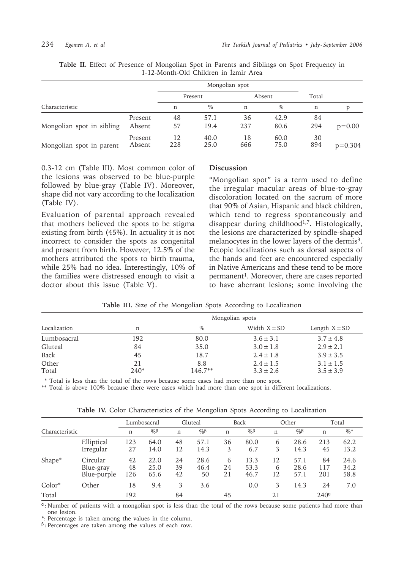|                           |                   |           | Mongolian spot |           |              |           |            |
|---------------------------|-------------------|-----------|----------------|-----------|--------------|-----------|------------|
|                           |                   | Present   |                | Absent    |              | Total     |            |
| Characteristic            | n                 | $\%$      | n              | $\%$      | n            |           |            |
|                           | Present           | 48        | 57.1           | 36        | 42.9         | 84        |            |
| Mongolian spot in sibling | Absent            | 57        | 19.4           | 237       | 80.6         | 294       | $p = 0.00$ |
| Mongolian spot in parent  | Present<br>Absent | 12<br>228 | 40.0<br>25.0   | 18<br>666 | 60.0<br>75.0 | 30<br>894 | $p=0.304$  |

**Table II.** Effect of Presence of Mongolian Spot in Parents and Siblings on Spot Frequency in 1-12-Month-Old Children in İzmir Area

0.3-12 cm (Table III). Most common color of the lesions was observed to be blue-purple followed by blue-gray (Table IV). Moreover, shape did not vary according to the localization (Table IV).

Evaluation of parental approach revealed that mothers believed the spots to be stigma existing from birth (45%). In actuality it is not incorrect to consider the spots as congenital and present from birth. However, 12.5% of the mothers attributed the spots to birth trauma, while 25% had no idea. Interestingly, 10% of the families were distressed enough to visit a doctor about this issue (Table V).

### **Discussion**

"Mongolian spot" is a term used to define the irregular macular areas of blue-to-gray discoloration located on the sacrum of more that 90% of Asian, Hispanic and black children, which tend to regress spontaneously and disappear during childhood<sup>1,7</sup>. Histologically, the lesions are characterized by spindle-shaped melanocytes in the lower layers of the dermis<sup>3</sup>. Ectopic localizations such as dorsal aspects of the hands and feet are encountered especially in Native Americans and these tend to be more permanent<sup>1</sup>. Moreover, there are cases reported to have aberrant lesions; some involving the

|              | Mongolian spots |         |                  |                   |  |  |  |
|--------------|-----------------|---------|------------------|-------------------|--|--|--|
| Localization | n               | $\%$    | Width $X \pm SD$ | Length $X \pm SD$ |  |  |  |
| Lumbosacral  | 192             | 80.0    | $3.6 \pm 3.1$    | $3.7 \pm 4.8$     |  |  |  |
| Gluteal      | 84              | 35.0    | $3.0 \pm 1.8$    | $2.9 \pm 2.1$     |  |  |  |
| Back         | 45              | 18.7    | $2.4 \pm 1.8$    | $3.9 \pm 3.5$     |  |  |  |
| Other        | 21              | 8.8     | $2.4 \pm 1.5$    | $3.1 \pm 1.5$     |  |  |  |
| Total        | $240*$          | 146.7** | $3.3 \pm 2.6$    | $3.5 \pm 3.9$     |  |  |  |

**Table III.** Size of the Mongolian Spots According to Localization

\* Total is less than the total of the rows because some cases had more than one spot.

\*\* Total is above 100% because there were cases which had more than one spot in different localizations.

|                |                                      | Lumbosacral     |                      |                | Gluteal            |               | Back                 |               | Other                |                  | Total                |  |
|----------------|--------------------------------------|-----------------|----------------------|----------------|--------------------|---------------|----------------------|---------------|----------------------|------------------|----------------------|--|
| Characteristic |                                      | n               | $η_0$ β              | n              | $%$ β              | n             | $%$ β                | $\mathbf n$   | $%$ β                | n                | $\%$ *               |  |
|                | Elliptical<br>Irregular              | 123<br>27       | 64.0<br>14.0         | 48<br>12       | 57.1<br>14.3       | 36<br>3       | 80.0<br>6.7          | 6<br>3        | 28.6<br>14.3         | 213<br>45        | 62.2<br>13.2         |  |
| Shape*         | Circular<br>Blue-gray<br>Blue-purple | 42<br>48<br>126 | 22.0<br>25.0<br>65.6 | 24<br>39<br>42 | 28.6<br>46.4<br>50 | 6<br>24<br>21 | 13.3<br>53.3<br>46.7 | 12<br>6<br>12 | 57.1<br>28.6<br>57.1 | 84<br>117<br>201 | 24.6<br>34.2<br>58.8 |  |
| $Color*$       | Other                                | 18              | 9.4                  | 3              | 3.6                |               | 0.0                  | 3             | 14.3                 | 24               | 7.0                  |  |
| Total          |                                      | 192             |                      | 84             |                    | 45            |                      | 2.1           |                      | 240 <sup>a</sup> |                      |  |

**Table IV.** Color Characteristics of the Mongolian Spots According to Localization

<sup>α</sup>: Number of patients with a mongolian spot is less than the total of the rows because some patients had more than one lesion.

\*: Percentage is taken among the values in the column.

<sup>β</sup> : Percentages are taken among the values of each row.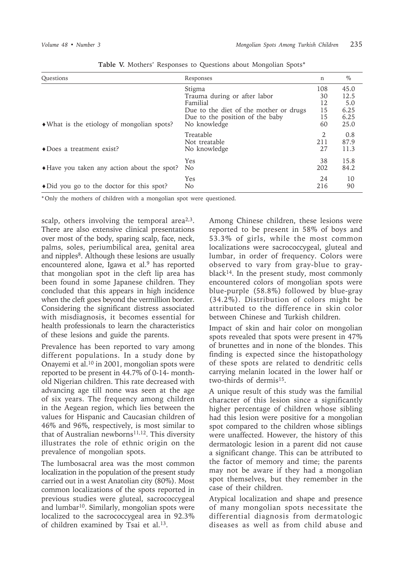| Questions                                           | Responses                              | n    | $\%$ |
|-----------------------------------------------------|----------------------------------------|------|------|
|                                                     | Stigma                                 | 108  | 45.0 |
|                                                     | Trauma during or after labor           | 30   | 12.5 |
|                                                     | Familial                               | 12   | 5.0  |
|                                                     | Due to the diet of the mother or drugs | 15   | 6.25 |
|                                                     | Due to the position of the baby        | 15   | 6.25 |
| • What is the etiology of mongolian spots?          | No knowledge                           | 60   | 25.0 |
|                                                     | Treatable                              | 2    | 0.8  |
|                                                     | Not treatable                          | 2.11 | 87.9 |
| $\triangle$ Does a treatment exist?                 | No knowledge                           | 27   | 11.3 |
|                                                     | Yes                                    | 38   | 15.8 |
| • Have you taken any action about the spot?         | N <sub>o</sub>                         | 202  | 84.2 |
|                                                     | Yes                                    | 24   | 10   |
| $\triangle$ Did you go to the doctor for this spot? | N <sub>o</sub>                         | 216  | 90   |

|  |  |  |  |  |  |  | Table V. Mothers' Responses to Questions about Mongolian Spots* |  |
|--|--|--|--|--|--|--|-----------------------------------------------------------------|--|
|--|--|--|--|--|--|--|-----------------------------------------------------------------|--|

\*Only the mothers of children with a mongolian spot were questioned.

scalp, others involving the temporal area $2,3$ . There are also extensive clinical presentations over most of the body, sparing scalp, face, neck, palms, soles, periumbilical area, genital area and nipples<sup>8</sup>. Although these lesions are usually encountered alone, Igawa et al.9 has reported that mongolian spot in the cleft lip area has been found in some Japanese children. They concluded that this appears in high incidence when the cleft goes beyond the vermillion border. Considering the significant distress associated with misdiagnosis, it becomes essential for health professionals to learn the characteristics of these lesions and guide the parents.

Prevalence has been reported to vary among different populations. In a study done by Onayemi et al.10 in 2001, mongolian spots were reported to be present in 44.7% of 0-14- monthold Nigerian children. This rate decreased with advancing age till none was seen at the age of six years. The frequency among children in the Aegean region, which lies between the values for Hispanic and Caucasian children of 46% and 96%, respectively, is most similar to that of Australian newborns<sup>11,12</sup>. This diversity illustrates the role of ethnic origin on the prevalence of mongolian spots.

The lumbosacral area was the most common localization in the population of the present study carried out in a west Anatolian city (80%). Most common localizations of the spots reported in previous studies were gluteal, sacrococcygeal and lumbar<sup>10</sup>. Similarly, mongolian spots were localized to the sacrococcygeal area in 92.3% of children examined by Tsai et al.13.

Among Chinese children, these lesions were reported to be present in 58% of boys and 53.3% of girls, while the most common localizations were sacrococcygeal, gluteal and lumbar, in order of frequency. Colors were observed to vary from gray-blue to grayblack14. In the present study, most commonly encountered colors of mongolian spots were blue-purple (58.8%) followed by blue-gray (34.2%). Distribution of colors might be attributed to the difference in skin color between Chinese and Turkish children.

Impact of skin and hair color on mongolian spots revealed that spots were present in 47% of brunettes and in none of the blondes. This finding is expected since the histopathology of these spots are related to dendritic cells carrying melanin located in the lower half or two-thirds of dermis<sup>15</sup>.

A unique result of this study was the familial character of this lesion since a significantly higher percentage of children whose sibling had this lesion were positive for a mongolian spot compared to the children whose siblings were unaffected. However, the history of this dermatologic lesion in a parent did not cause a significant change. This can be attributed to the factor of memory and time; the parents may not be aware if they had a mongolian spot themselves, but they remember in the case of their children.

Atypical localization and shape and presence of many mongolian spots necessitate the differential diagnosis from dermatologic diseases as well as from child abuse and